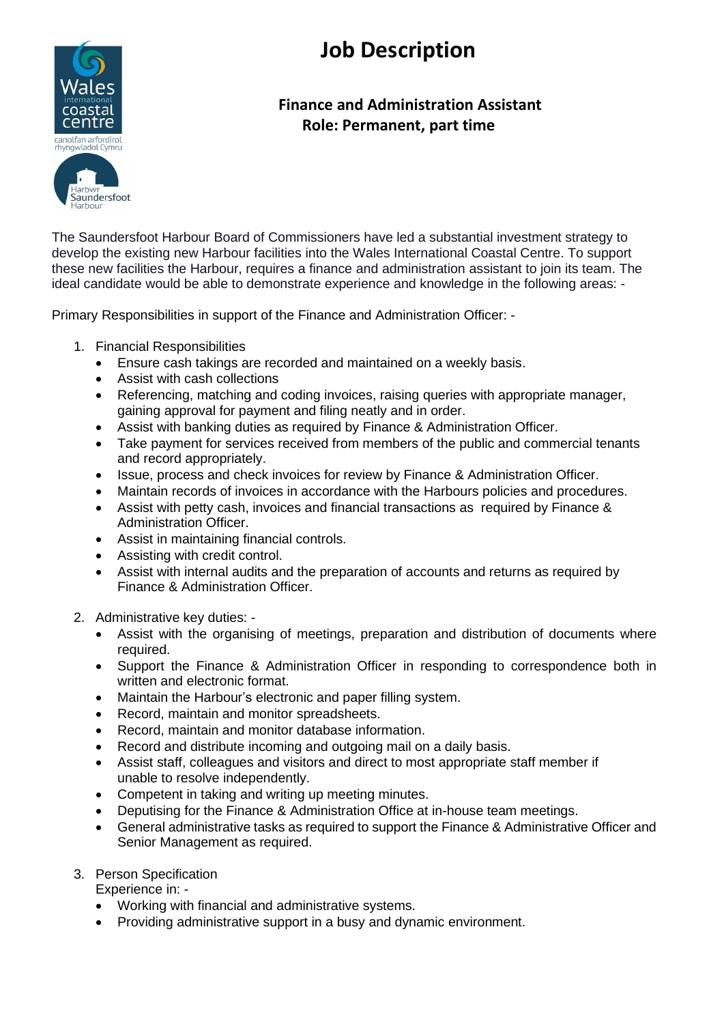



## **Finance and Administration Assistant Role: Permanent, part time**

The Saundersfoot Harbour Board of Commissioners have led a substantial investment strategy to develop the existing new Harbour facilities into the Wales International Coastal Centre. To support these new facilities the Harbour, requires a finance and administration assistant to join its team. The ideal candidate would be able to demonstrate experience and knowledge in the following areas: -

Primary Responsibilities in support of the Finance and Administration Officer: -

- 1. Financial Responsibilities
	- Ensure cash takings are recorded and maintained on a weekly basis.
	- Assist with cash collections
	- Referencing, matching and coding invoices, raising queries with appropriate manager, gaining approval for payment and filing neatly and in order.
	- Assist with banking duties as required by Finance & Administration Officer.
	- Take payment for services received from members of the public and commercial tenants and record appropriately.
	- Issue, process and check invoices for review by Finance & Administration Officer.
	- Maintain records of invoices in accordance with the Harbours policies and procedures.
	- Assist with petty cash, invoices and financial transactions as required by Finance & Administration Officer.
	- Assist in maintaining financial controls.
	- Assisting with credit control.
	- Assist with internal audits and the preparation of accounts and returns as required by Finance & Administration Officer.
- 2. Administrative key duties:
	- Assist with the organising of meetings, preparation and distribution of documents where required.
	- Support the Finance & Administration Officer in responding to correspondence both in written and electronic format.
	- Maintain the Harbour's electronic and paper filling system.
	- Record, maintain and monitor spreadsheets.
	- Record, maintain and monitor database information.
	- Record and distribute incoming and outgoing mail on a daily basis.
	- Assist staff, colleagues and visitors and direct to most appropriate staff member if unable to resolve independently.
	- Competent in taking and writing up meeting minutes.
	- Deputising for the Finance & Administration Office at in-house team meetings.
	- General administrative tasks as required to support the Finance & Administrative Officer and Senior Management as required.

## 3. Person Specification

Experience in: -

- Working with financial and administrative systems.
- Providing administrative support in a busy and dynamic environment.